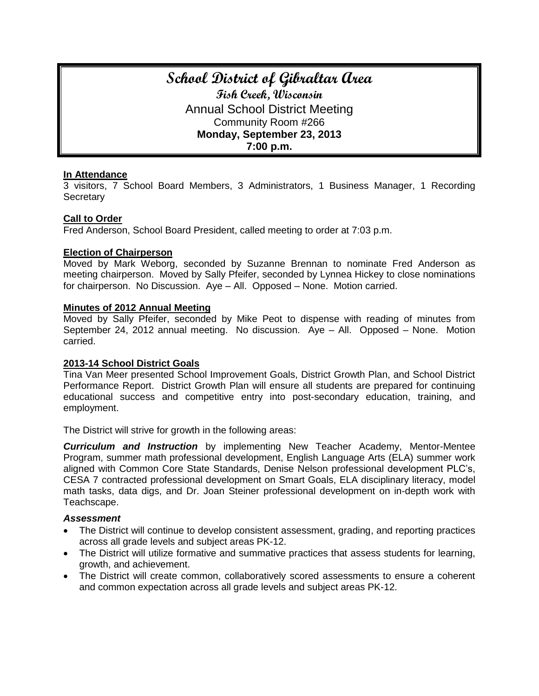# **School District of Gibraltar Area Fish Creek, Wisconsin** Annual School District Meeting Community Room #266 **Monday, September 23, 2013 7:00 p.m.**

#### **In Attendance**

3 visitors, 7 School Board Members, 3 Administrators, 1 Business Manager, 1 Recording **Secretary** 

#### **Call to Order**

Fred Anderson, School Board President, called meeting to order at 7:03 p.m.

#### **Election of Chairperson**

Moved by Mark Weborg, seconded by Suzanne Brennan to nominate Fred Anderson as meeting chairperson. Moved by Sally Pfeifer, seconded by Lynnea Hickey to close nominations for chairperson. No Discussion. Aye – All. Opposed – None. Motion carried.

#### **Minutes of 2012 Annual Meeting**

Moved by Sally Pfeifer, seconded by Mike Peot to dispense with reading of minutes from September 24, 2012 annual meeting. No discussion. Aye – All. Opposed – None. Motion carried.

#### **2013-14 School District Goals**

Tina Van Meer presented School Improvement Goals, District Growth Plan, and School District Performance Report. District Growth Plan will ensure all students are prepared for continuing educational success and competitive entry into post-secondary education, training, and employment.

The District will strive for growth in the following areas:

*Curriculum and Instruction* by implementing New Teacher Academy, Mentor-Mentee Program, summer math professional development, English Language Arts (ELA) summer work aligned with Common Core State Standards, Denise Nelson professional development PLC's, CESA 7 contracted professional development on Smart Goals, ELA disciplinary literacy, model math tasks, data digs, and Dr. Joan Steiner professional development on in-depth work with Teachscape.

#### *Assessment*

- The District will continue to develop consistent assessment, grading, and reporting practices across all grade levels and subject areas PK-12.
- The District will utilize formative and summative practices that assess students for learning, growth, and achievement.
- The District will create common, collaboratively scored assessments to ensure a coherent and common expectation across all grade levels and subject areas PK-12.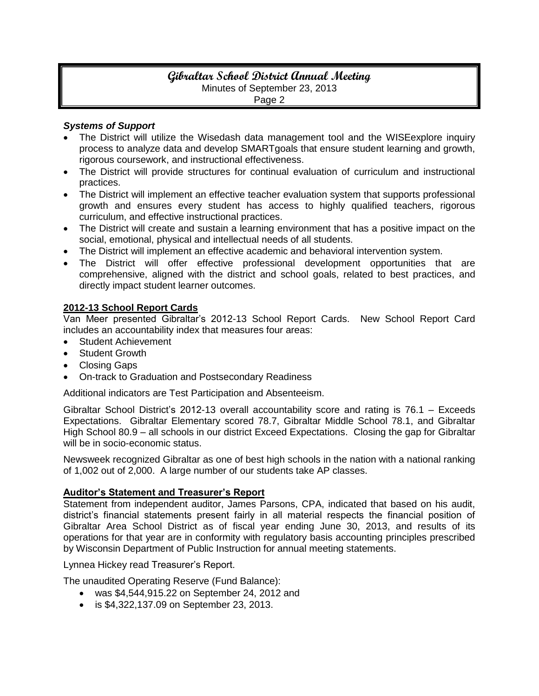# **Gibraltar School District Annual Meeting** Minutes of September 23, 2013 Page 2

#### *Systems of Support*

- The District will utilize the Wisedash data management tool and the WISEexplore inquiry process to analyze data and develop SMARTgoals that ensure student learning and growth, rigorous coursework, and instructional effectiveness.
- The District will provide structures for continual evaluation of curriculum and instructional practices.
- The District will implement an effective teacher evaluation system that supports professional growth and ensures every student has access to highly qualified teachers, rigorous curriculum, and effective instructional practices.
- The District will create and sustain a learning environment that has a positive impact on the social, emotional, physical and intellectual needs of all students.
- The District will implement an effective academic and behavioral intervention system.
- The District will offer effective professional development opportunities that are comprehensive, aligned with the district and school goals, related to best practices, and directly impact student learner outcomes.

# **2012-13 School Report Cards**

Van Meer presented Gibraltar's 2012-13 School Report Cards. New School Report Card includes an accountability index that measures four areas:

- **Student Achievement**
- Student Growth
- Closing Gaps
- On-track to Graduation and Postsecondary Readiness

Additional indicators are Test Participation and Absenteeism.

Gibraltar School District's 2012-13 overall accountability score and rating is 76.1 – Exceeds Expectations. Gibraltar Elementary scored 78.7, Gibraltar Middle School 78.1, and Gibraltar High School 80.9 – all schools in our district Exceed Expectations. Closing the gap for Gibraltar will be in socio-economic status.

Newsweek recognized Gibraltar as one of best high schools in the nation with a national ranking of 1,002 out of 2,000. A large number of our students take AP classes.

# **Auditor's Statement and Treasurer's Report**

Statement from independent auditor, James Parsons, CPA, indicated that based on his audit, district's financial statements present fairly in all material respects the financial position of Gibraltar Area School District as of fiscal year ending June 30, 2013, and results of its operations for that year are in conformity with regulatory basis accounting principles prescribed by Wisconsin Department of Public Instruction for annual meeting statements.

Lynnea Hickey read Treasurer's Report.

The unaudited Operating Reserve (Fund Balance):

- was \$4,544,915.22 on September 24, 2012 and
- is \$4,322,137.09 on September 23, 2013.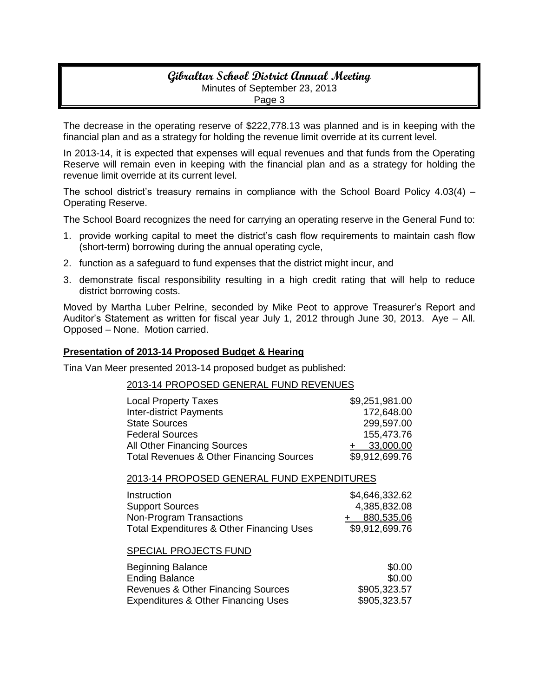# **Gibraltar School District Annual Meeting** Minutes of September 23, 2013 Page 3

The decrease in the operating reserve of \$222,778.13 was planned and is in keeping with the financial plan and as a strategy for holding the revenue limit override at its current level.

In 2013-14, it is expected that expenses will equal revenues and that funds from the Operating Reserve will remain even in keeping with the financial plan and as a strategy for holding the revenue limit override at its current level.

The school district's treasury remains in compliance with the School Board Policy 4.03(4) – Operating Reserve.

The School Board recognizes the need for carrying an operating reserve in the General Fund to:

- 1. provide working capital to meet the district's cash flow requirements to maintain cash flow (short-term) borrowing during the annual operating cycle,
- 2. function as a safeguard to fund expenses that the district might incur, and
- 3. demonstrate fiscal responsibility resulting in a high credit rating that will help to reduce district borrowing costs.

Moved by Martha Luber Pelrine, seconded by Mike Peot to approve Treasurer's Report and Auditor's Statement as written for fiscal year July 1, 2012 through June 30, 2013. Aye – All. Opposed – None. Motion carried.

#### **Presentation of 2013-14 Proposed Budget & Hearing**

Tina Van Meer presented 2013-14 proposed budget as published:

#### 2013-14 PROPOSED GENERAL FUND REVENUES

| <b>Local Property Taxes</b>                         | \$9,251,981.00 |
|-----------------------------------------------------|----------------|
| <b>Inter-district Payments</b>                      | 172,648.00     |
| <b>State Sources</b>                                | 299,597.00     |
| <b>Federal Sources</b>                              | 155,473.76     |
| All Other Financing Sources                         | 33,000.00      |
| <b>Total Revenues &amp; Other Financing Sources</b> | \$9,912,699.76 |

#### 2013-14 PROPOSED GENERAL FUND EXPENDITURES

| Instruction                               | \$4,646,332.62 |
|-------------------------------------------|----------------|
| <b>Support Sources</b>                    | 4,385,832.08   |
| Non-Program Transactions                  | + 880,535.06   |
| Total Expenditures & Other Financing Uses | \$9,912,699.76 |

#### SPECIAL PROJECTS FUND

| <b>Beginning Balance</b>                       | \$0.00       |
|------------------------------------------------|--------------|
| <b>Ending Balance</b>                          | \$0.00       |
| Revenues & Other Financing Sources             | \$905,323.57 |
| <b>Expenditures &amp; Other Financing Uses</b> | \$905,323.57 |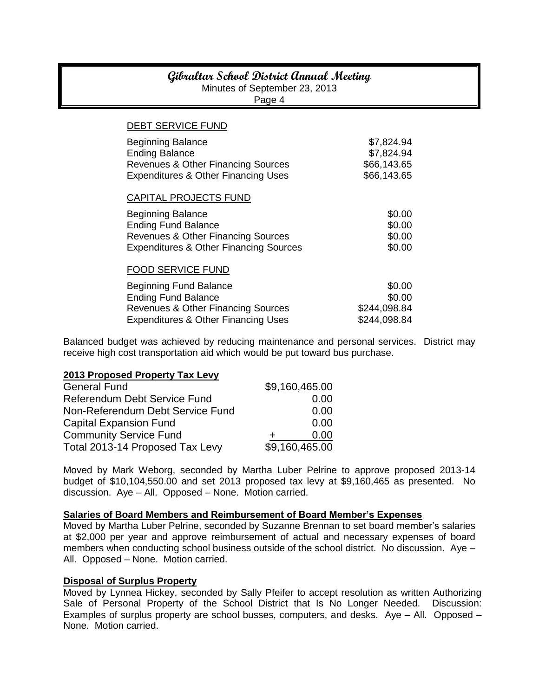# **Gibraltar School District Annual Meeting**

Minutes of September 23, 2013

Page 4

| ∽ອ∽                                                                                                                                               |                                                        |
|---------------------------------------------------------------------------------------------------------------------------------------------------|--------------------------------------------------------|
| <b>DEBT SERVICE FUND</b>                                                                                                                          |                                                        |
| <b>Beginning Balance</b><br><b>Ending Balance</b><br>Revenues & Other Financing Sources<br><b>Expenditures &amp; Other Financing Uses</b>         | \$7,824.94<br>\$7,824.94<br>\$66,143.65<br>\$66,143.65 |
| CAPITAL PROJECTS FUND                                                                                                                             |                                                        |
| <b>Beginning Balance</b><br><b>Ending Fund Balance</b><br>Revenues & Other Financing Sources<br><b>Expenditures &amp; Other Financing Sources</b> | \$0.00<br>\$0.00<br>\$0.00<br>\$0.00                   |
| <b>FOOD SERVICE FUND</b>                                                                                                                          |                                                        |
| <b>Beginning Fund Balance</b><br><b>Ending Fund Balance</b><br>Revenues & Other Financing Sources                                                 | \$0.00<br>\$0.00<br>\$244,098.84                       |
| <b>Expenditures &amp; Other Financing Uses</b>                                                                                                    | \$244,098.84                                           |

Balanced budget was achieved by reducing maintenance and personal services. District may receive high cost transportation aid which would be put toward bus purchase.

#### **2013 Proposed Property Tax Levy**

| <b>General Fund</b>                 | \$9,160,465.00 |
|-------------------------------------|----------------|
| <b>Referendum Debt Service Fund</b> | 0.00           |
| Non-Referendum Debt Service Fund    | 0.00           |
| <b>Capital Expansion Fund</b>       | 0.00           |
| <b>Community Service Fund</b>       | 0.00           |
| Total 2013-14 Proposed Tax Levy     | \$9,160,465.00 |

Moved by Mark Weborg, seconded by Martha Luber Pelrine to approve proposed 2013-14 budget of \$10,104,550.00 and set 2013 proposed tax levy at \$9,160,465 as presented. No discussion. Aye – All. Opposed – None. Motion carried.

#### **Salaries of Board Members and Reimbursement of Board Member's Expenses**

Moved by Martha Luber Pelrine, seconded by Suzanne Brennan to set board member's salaries at \$2,000 per year and approve reimbursement of actual and necessary expenses of board members when conducting school business outside of the school district. No discussion. Aye – All. Opposed – None. Motion carried.

#### **Disposal of Surplus Property**

Moved by Lynnea Hickey, seconded by Sally Pfeifer to accept resolution as written Authorizing Sale of Personal Property of the School District that Is No Longer Needed. Discussion: Examples of surplus property are school busses, computers, and desks. Aye – All. Opposed – None. Motion carried.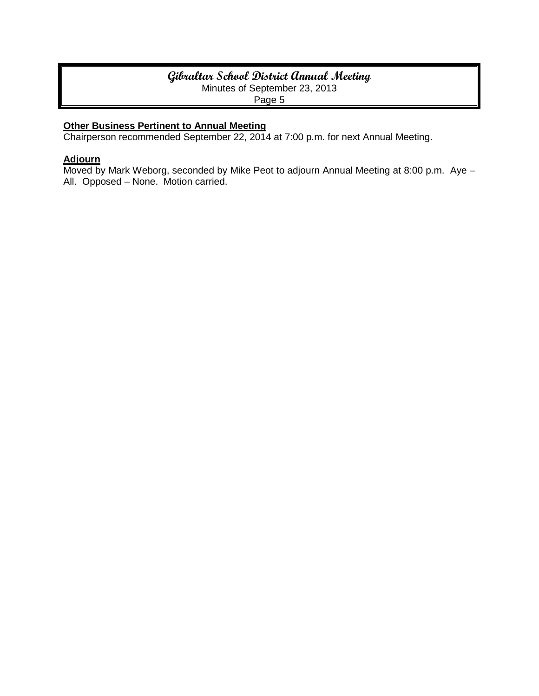# **Gibraltar School District Annual Meeting** Minutes of September 23, 2013

Page 5

# **Other Business Pertinent to Annual Meeting**

Chairperson recommended September 22, 2014 at 7:00 p.m. for next Annual Meeting.

# **Adjourn**

Moved by Mark Weborg, seconded by Mike Peot to adjourn Annual Meeting at 8:00 p.m. Aye – All. Opposed – None. Motion carried.